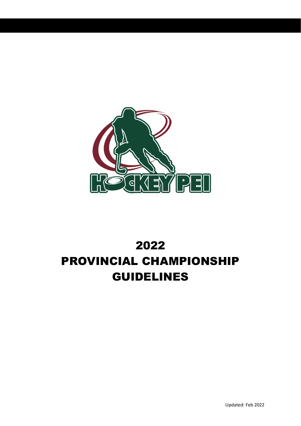

# 2022 PROVINCIAL CHAMPIONSHIP GUIDELINES

Updated: Feb 2022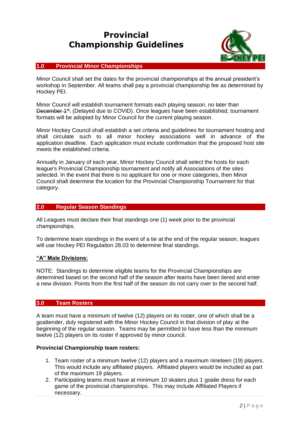# **Provincial Championship Guidelines**



## **1.0 Provincial Minor Championships**

Minor Council shall set the dates for the provincial championships at the annual president's workshop in September. All teams shall pay a provincial championship fee as determined by Hockey PEI.

Minor Council will establish tournament formats each playing season, no later than December <sup>1st</sup>. (Delayed due to COVID). Once leagues have been established, tournament formats will be adopted by Minor Council for the current playing season.

Minor Hockey Council shall establish a set criteria and guidelines for tournament hosting and shall circulate such to all minor hockey associations well in advance of the application deadline. Each application must include confirmation that the proposed host site meets the established criteria.

Annually in January of each year, Minor Hockey Council shall select the hosts for each league's Provincial Championship tournament and notify all Associations of the sites selected. In the event that there is no applicant for one or more categories, then Minor Council shall determine the location for the Provincial Championship Tournament for that category.

# **2.0 Regular Season Standings**

All Leagues must declare their final standings one (1) week prior to the provincial championships.

To determine team standings in the event of a tie at the end of the regular season, leagues will use Hockey PEI Regulation 28.03 to determine final standings.

#### **"A" Male Divisions:**

NOTE: Standings to determine eligible teams for the Provincial Championships are determined based on the second half of the season after teams have been tiered and enter a new division. Points from the first half of the season do not carry over to the second half.

#### **3.0 Team Rosters**

A team must have a minimum of twelve (12) players on its roster, one of which shall be a goaltender, duly registered with the Minor Hockey Council in that division of play at the beginning of the regular season. Teams may be permitted to have less than the minimum twelve (12) players on its roster if approved by minor council.

## **Provincial Championship team rosters:**

- 1. Team roster of a minimum twelve (12) players and a maximum nineteen (19) players. This would include any affiliated players. Affiliated players would be included as part of the maximum 19 players.
- 2. Participating teams must have at minimum 10 skaters plus 1 goalie dress for each game of the provincial championships. This may include Affiliated Players if necessary.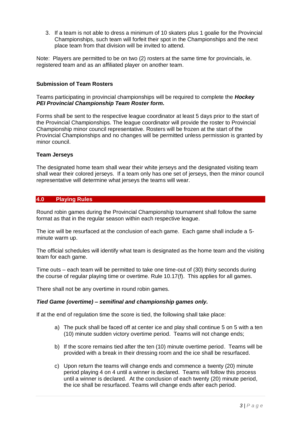3. If a team is not able to dress a minimum of 10 skaters plus 1 goalie for the Provincial Championships, such team will forfeit their spot in the Championships and the next place team from that division will be invited to attend.

Note: Players are permitted to be on two (2) rosters at the same time for provincials, ie. registered team and as an affiliated player on another team.

#### **Submission of Team Rosters**

Teams participating in provincial championships will be required to complete the *Hockey PEI Provincial Championship Team Roster form.*

Forms shall be sent to the respective league coordinator at least 5 days prior to the start of the Provincial Championships. The league coordinator will provide the roster to Provincial Championship minor council representative. Rosters will be frozen at the start of the Provincial Championships and no changes will be permitted unless permission is granted by minor council.

#### **Team Jerseys**

The designated home team shall wear their white jerseys and the designated visiting team shall wear their colored jerseys. If a team only has one set of jerseys, then the minor council representative will determine what jerseys the teams will wear.

#### **4.0 Playing Rules**

Round robin games during the Provincial Championship tournament shall follow the same format as that in the regular season within each respective league.

The ice will be resurfaced at the conclusion of each game. Each game shall include a 5 minute warm up.

The official schedules will identify what team is designated as the home team and the visiting team for each game.

Time outs – each team will be permitted to take one time-out of (30) thirty seconds during the course of regular playing time or overtime. Rule 10.17(f). This applies for all games.

There shall not be any overtime in round robin games.

#### *Tied Game (overtime) – semifinal and championship games only.*

If at the end of regulation time the score is tied, the following shall take place:

- a) The puck shall be faced off at center ice and play shall continue 5 on 5 with a ten (10) minute sudden victory overtime period. Teams will not change ends;
- b) If the score remains tied after the ten (10) minute overtime period. Teams will be provided with a break in their dressing room and the ice shall be resurfaced.
- c) Upon return the teams will change ends and commence a twenty (20) minute period playing 4 on 4 until a winner is declared. Teams will follow this process until a winner is declared. At the conclusion of each twenty (20) minute period, the ice shall be resurfaced. Teams will change ends after each period.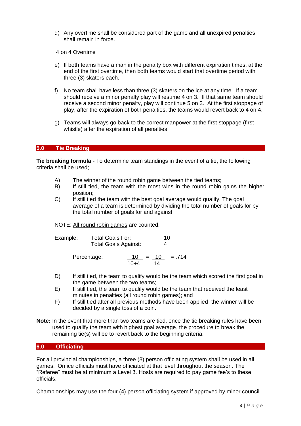- d) Any overtime shall be considered part of the game and all unexpired penalties shall remain in force.
- 4 on 4 Overtime
- e) If both teams have a man in the penalty box with different expiration times, at the end of the first overtime, then both teams would start that overtime period with three (3) skaters each.
- f) No team shall have less than three (3) skaters on the ice at any time. If a team should receive a minor penalty play will resume 4 on 3. If that same team should receive a second minor penalty, play will continue 5 on 3. At the first stoppage of play, after the expiration of both penalties, the teams would revert back to 4 on 4.
- g) Teams will always go back to the correct manpower at the first stoppage (first whistle) after the expiration of all penalties.

#### **5.0 Tie Breaking**

**Tie breaking formula** - To determine team standings in the event of a tie, the following criteria shall be used;

- A) The winner of the round robin game between the tied teams;
- B) If still tied, the team with the most wins in the round robin gains the higher position;
- C) If still tied the team with the best goal average would qualify. The goal average of a team is determined by dividing the total number of goals for by the total number of goals for and against.

NOTE: All round robin games are counted.

| Example: | Total Goals For:            | 10 |
|----------|-----------------------------|----|
|          | <b>Total Goals Against:</b> | 4  |

Percentage:  $10 = 10 = 714$ 10+4 14

- D) If still tied, the team to qualify would be the team which scored the first goal in the game between the two teams;
- E) If still tied, the team to qualify would be the team that received the least minutes in penalties (all round robin games); and
- F) If still tied after all previous methods have been applied, the winner will be decided by a single toss of a coin.
- **Note:** In the event that more than two teams are tied, once the tie breaking rules have been used to qualify the team with highest goal average, the procedure to break the remaining tie(s) will be to revert back to the beginning criteria.

#### **6.0 Officiating**

For all provincial championships, a three (3) person officiating system shall be used in all games. On ice officials must have officiated at that level throughout the season. The gamed. On the entriest measure of all the state required to pay game fee's to these officials.

Championships may use the four (4) person officiating system if approved by minor council.